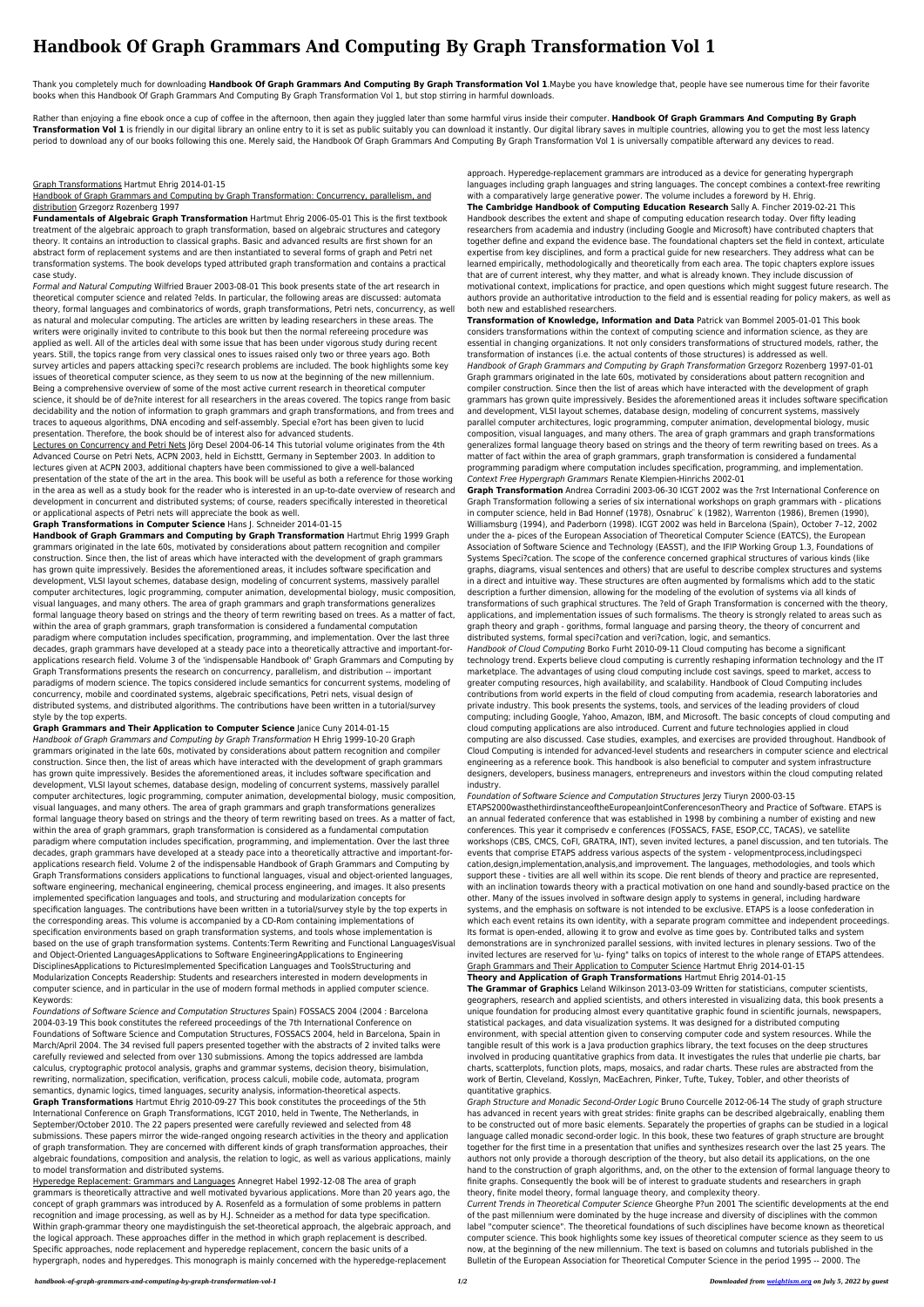# **Handbook Of Graph Grammars And Computing By Graph Transformation Vol 1**

Rather than enjoying a fine ebook once a cup of coffee in the afternoon, then again they juggled later than some harmful virus inside their computer. **Handbook Of Graph Grammars And Computing By Graph** Transformation Vol 1 is friendly in our digital library an online entry to it is set as public suitably you can download it instantly. Our digital library saves in multiple countries, allowing you to get the most less late period to download any of our books following this one. Merely said, the Handbook Of Graph Grammars And Computing By Graph Transformation Vol 1 is universally compatible afterward any devices to read.

Thank you completely much for downloading **Handbook Of Graph Grammars And Computing By Graph Transformation Vol 1**.Maybe you have knowledge that, people have see numerous time for their favorite books when this Handbook Of Graph Grammars And Computing By Graph Transformation Vol 1, but stop stirring in harmful downloads.

### Graph Transformations Hartmut Ehrig 2014-01-15

## Handbook of Graph Grammars and Computing by Graph Transformation: Concurrency, parallelism, and distribution Grzegorz Rozenberg 1997

**Fundamentals of Algebraic Graph Transformation** Hartmut Ehrig 2006-05-01 This is the first textbook treatment of the algebraic approach to graph transformation, based on algebraic structures and category theory. It contains an introduction to classical graphs. Basic and advanced results are first shown for an abstract form of replacement systems and are then instantiated to several forms of graph and Petri net transformation systems. The book develops typed attributed graph transformation and contains a practical case study.

Lectures on Concurrency and Petri Nets Jörg Desel 2004-06-14 This tutorial volume originates from the 4th Advanced Course on Petri Nets, ACPN 2003, held in Eichsttt, Germany in September 2003. In addition to lectures given at ACPN 2003, additional chapters have been commissioned to give a well-balanced presentation of the state of the art in the area. This book will be useful as both a reference for those working in the area as well as a study book for the reader who is interested in an up-to-date overview of research and development in concurrent and distributed systems; of course, readers specifically interested in theoretical or applicational aspects of Petri nets will appreciate the book as well.

Formal and Natural Computing Wilfried Brauer 2003-08-01 This book presents state of the art research in theoretical computer science and related ?elds. In particular, the following areas are discussed: automata theory, formal languages and combinatorics of words, graph transformations, Petri nets, concurrency, as well as natural and molecular computing. The articles are written by leading researchers in these areas. The writers were originally invited to contribute to this book but then the normal refereeing procedure was applied as well. All of the articles deal with some issue that has been under vigorous study during recent years. Still, the topics range from very classical ones to issues raised only two or three years ago. Both survey articles and papers attacking speci?c research problems are included. The book highlights some key issues of theoretical computer science, as they seem to us now at the beginning of the new millennium. Being a comprehensive overview of some of the most active current research in theoretical computer science, it should be of de?nite interest for all researchers in the areas covered. The topics range from basic decidability and the notion of information to graph grammars and graph transformations, and from trees and traces to aqueous algorithms, DNA encoding and self-assembly. Special e?ort has been given to lucid presentation. Therefore, the book should be of interest also for advanced students.

**Graph Transformations in Computer Science** Hans J. Schneider 2014-01-15

**Handbook of Graph Grammars and Computing by Graph Transformation** Hartmut Ehrig 1999 Graph grammars originated in the late 60s, motivated by considerations about pattern recognition and compiler construction. Since then, the list of areas which have interacted with the development of graph grammars has grown quite impressively. Besides the aforementioned areas, it includes software specification and development, VLSI layout schemes, database design, modeling of concurrent systems, massively parallel computer architectures, logic programming, computer animation, developmental biology, music composition, visual languages, and many others. The area of graph grammars and graph transformations generalizes formal language theory based on strings and the theory of term rewriting based on trees. As a matter of fact, within the area of graph grammars, graph transformation is considered a fundamental computation paradigm where computation includes specification, programming, and implementation. Over the last three decades, graph grammars have developed at a steady pace into a theoretically attractive and important-forapplications research field. Volume 3 of the 'indispensable Handbook of' Graph Grammars and Computing by Graph Transformations presents the research on concurrency, parallelism, and distribution -- important paradigms of modern science. The topics considered include semantics for concurrent systems, modeling of concurrency, mobile and coordinated systems, algebraic specifications, Petri nets, visual design of

distributed systems, and distributed algorithms. The contributions have been written in a tutorial/survey style by the top experts.

**Graph Grammars and Their Application to Computer Science** Janice Cuny 2014-01-15 Handbook of Graph Grammars and Computing by Graph Transformation H Ehrig 1999-10-20 Graph grammars originated in the late 60s, motivated by considerations about pattern recognition and compiler construction. Since then, the list of areas which have interacted with the development of graph grammars has grown quite impressively. Besides the aforementioned areas, it includes software specification and development, VLSI layout schemes, database design, modeling of concurrent systems, massively parallel computer architectures, logic programming, computer animation, developmental biology, music composition, visual languages, and many others. The area of graph grammars and graph transformations generalizes formal language theory based on strings and the theory of term rewriting based on trees. As a matter of fact, within the area of graph grammars, graph transformation is considered as a fundamental computation paradigm where computation includes specification, programming, and implementation. Over the last three decades, graph grammars have developed at a steady pace into a theoretically attractive and important-forapplications research field. Volume 2 of the indispensable Handbook of Graph Grammars and Computing by Graph Transformations considers applications to functional languages, visual and object-oriented languages, software engineering, mechanical engineering, chemical process engineering, and images. It also presents implemented specification languages and tools, and structuring and modularization concepts for specification languages. The contributions have been written in a tutorial/survey style by the top experts in the corresponding areas. This volume is accompanied by a CD-Rom containing implementations of specification environments based on graph transformation systems, and tools whose implementation is based on the use of graph transformation systems. Contents:Term Rewriting and Functional LanguagesVisual and Object-Oriented LanguagesApplications to Software EngineeringApplications to Engineering DisciplinesApplications to PicturesImplemented Specification Languages and ToolsStructuring and Modularization Concepts Readership: Students and researchers interested in modern developments in computer science, and in particular in the use of modern formal methods in applied computer science. Keywords:

Foundations of Software Science and Computation Structures Spain) FOSSACS 2004 (2004 : Barcelona 2004-03-19 This book constitutes the refereed proceedings of the 7th International Conference on Foundations of Software Science and Computation Structures, FOSSACS 2004, held in Barcelona, Spain in March/April 2004. The 34 revised full papers presented together with the abstracts of 2 invited talks were carefully reviewed and selected from over 130 submissions. Among the topics addressed are lambda calculus, cryptographic protocol analysis, graphs and grammar systems, decision theory, bisimulation, rewriting, normalization, specification, verification, process calculi, mobile code, automata, program semantics, dynamic logics, timed languages, security analysis, information-theoretical aspects. **Graph Transformations** Hartmut Ehrig 2010-09-27 This book constitutes the proceedings of the 5th International Conference on Graph Transformations, ICGT 2010, held in Twente, The Netherlands, in September/October 2010. The 22 papers presented were carefully reviewed and selected from 48 submissions. These papers mirror the wide-ranged ongoing research activities in the theory and application of graph transformation. They are concerned with different kinds of graph transformation approaches, their algebraic foundations, composition and analysis, the relation to logic, as well as various applications, mainly to model transformation and distributed systems.

Hyperedge Replacement: Grammars and Languages Annegret Habel 1992-12-08 The area of graph grammars is theoretically attractive and well motivated byvarious applications. More than 20 years ago, the concept of graph grammars was introduced by A. Rosenfeld as a formulation of some problems in pattern recognition and image processing, as well as by H.J. Schneider as a method for data type specification. Within graph-grammar theory one maydistinguish the set-theoretical approach, the algebraic approach, and the logical approach. These approaches differ in the method in which graph replacement is described. Specific approaches, node replacement and hyperedge replacement, concern the basic units of a hypergraph, nodes and hyperedges. This monograph is mainly concerned with the hyperedge-replacement

approach. Hyperedge-replacement grammars are introduced as a device for generating hypergraph languages including graph languages and string languages. The concept combines a context-free rewriting with a comparatively large generative power. The volume includes a foreword by H. Ehrig.

**The Cambridge Handbook of Computing Education Research** Sally A. Fincher 2019-02-21 This Handbook describes the extent and shape of computing education research today. Over fifty leading researchers from academia and industry (including Google and Microsoft) have contributed chapters that together define and expand the evidence base. The foundational chapters set the field in context, articulate expertise from key disciplines, and form a practical guide for new researchers. They address what can be learned empirically, methodologically and theoretically from each area. The topic chapters explore issues that are of current interest, why they matter, and what is already known. They include discussion of motivational context, implications for practice, and open questions which might suggest future research. The authors provide an authoritative introduction to the field and is essential reading for policy makers, as well as both new and established researchers.

**Transformation of Knowledge, Information and Data** Patrick van Bommel 2005-01-01 This book considers transformations within the context of computing science and information science, as they are essential in changing organizations. It not only considers transformations of structured models, rather, the transformation of instances (i.e. the actual contents of those structures) is addressed as well. Handbook of Graph Grammars and Computing by Graph Transformation Grzegorz Rozenberg 1997-01-01 Graph grammars originated in the late 60s, motivated by considerations about pattern recognition and compiler construction. Since then the list of areas which have interacted with the development of graph grammars has grown quite impressively. Besides the aforementioned areas it includes software specification and development, VLSI layout schemes, database design, modeling of concurrent systems, massively parallel computer architectures, logic programming, computer animation, developmental biology, music composition, visual languages, and many others. The area of graph grammars and graph transformations generalizes formal language theory based on strings and the theory of term rewriting based on trees. As a matter of fact within the area of graph grammars, graph transformation is considered a fundamental programming paradigm where computation includes specification, programming, and implementation. Context Free Hypergraph Grammars Renate Klempien-Hinrichs 2002-01

**Graph Transformation** Andrea Corradini 2003-06-30 ICGT 2002 was the ?rst International Conference on Graph Transformation following a series of six international workshops on graph grammars with - plications in computer science, held in Bad Honnef (1978), Osnabruc k (1982), Warrenton (1986), Bremen (1990), Williamsburg (1994), and Paderborn (1998). ICGT 2002 was held in Barcelona (Spain), October 7–12, 2002 under the a- pices of the European Association of Theoretical Computer Science (EATCS), the European Association of Software Science and Technology (EASST), and the IFIP Working Group 1.3, Foundations of Systems Speci?cation. The scope of the conference concerned graphical structures of various kinds (like graphs, diagrams, visual sentences and others) that are useful to describe complex structures and systems in a direct and intuitive way. These structures are often augmented by formalisms which add to the static description a further dimension, allowing for the modeling of the evolution of systems via all kinds of transformations of such graphical structures. The ?eld of Graph Transformation is concerned with the theory, applications, and implementation issues of such formalisms. The theory is strongly related to areas such as graph theory and graph - gorithms, formal language and parsing theory, the theory of concurrent and distributed systems, formal speci?cation and veri?cation, logic, and semantics. Handbook of Cloud Computing Borko Furht 2010-09-11 Cloud computing has become a significant technology trend. Experts believe cloud computing is currently reshaping information technology and the IT marketplace. The advantages of using cloud computing include cost savings, speed to market, access to greater computing resources, high availability, and scalability. Handbook of Cloud Computing includes contributions from world experts in the field of cloud computing from academia, research laboratories and private industry. This book presents the systems, tools, and services of the leading providers of cloud computing; including Google, Yahoo, Amazon, IBM, and Microsoft. The basic concepts of cloud computing and cloud computing applications are also introduced. Current and future technologies applied in cloud computing are also discussed. Case studies, examples, and exercises are provided throughout. Handbook of Cloud Computing is intended for advanced-level students and researchers in computer science and electrical engineering as a reference book. This handbook is also beneficial to computer and system infrastructure designers, developers, business managers, entrepreneurs and investors within the cloud computing related industry.

Foundation of Software Science and Computation Structures Jerzy Tiuryn 2000-03-15

ETAPS2000wasthethirdinstanceoftheEuropeanJointConferencesonTheory and Practice of Software. ETAPS is an annual federated conference that was established in 1998 by combining a number of existing and new conferences. This year it comprisedv e conferences (FOSSACS, FASE, ESOP,CC, TACAS), ve satellite workshops (CBS, CMCS, CoFI, GRATRA, INT), seven invited lectures, a panel discussion, and ten tutorials. The events that comprise ETAPS address various aspects of the system - velopmentprocess,includingspeci cation,design,implementation,analysis,and improvement. The languages, methodologies, and tools which support these - tivities are all well within its scope. Die rent blends of theory and practice are represented, with an inclination towards theory with a practical motivation on one hand and soundly-based practice on the other. Many of the issues involved in software design apply to systems in general, including hardware systems, and the emphasis on software is not intended to be exclusive. ETAPS is a loose confederation in which each event retains its own identity, with a separate program committee and independent proceedings. Its format is open-ended, allowing it to grow and evolve as time goes by. Contributed talks and system demonstrations are in synchronized parallel sessions, with invited lectures in plenary sessions. Two of the invited lectures are reserved for \u- fying" talks on topics of interest to the whole range of ETAPS attendees. Graph Grammars and Their Application to Computer Science Hartmut Ehrig 2014-01-15

#### **Theory and Application of Graph Transformations** Hartmut Ehrig 2014-01-15

**The Grammar of Graphics** Leland Wilkinson 2013-03-09 Written for statisticians, computer scientists, geographers, research and applied scientists, and others interested in visualizing data, this book presents a unique foundation for producing almost every quantitative graphic found in scientific journals, newspapers, statistical packages, and data visualization systems. It was designed for a distributed computing environment, with special attention given to conserving computer code and system resources. While the tangible result of this work is a Java production graphics library, the text focuses on the deep structures involved in producing quantitative graphics from data. It investigates the rules that underlie pie charts, bar charts, scatterplots, function plots, maps, mosaics, and radar charts. These rules are abstracted from the work of Bertin, Cleveland, Kosslyn, MacEachren, Pinker, Tufte, Tukey, Tobler, and other theorists of quantitative graphics.

Graph Structure and Monadic Second-Order Logic Bruno Courcelle 2012-06-14 The study of graph structure has advanced in recent years with great strides: finite graphs can be described algebraically, enabling them to be constructed out of more basic elements. Separately the properties of graphs can be studied in a logical language called monadic second-order logic. In this book, these two features of graph structure are brought together for the first time in a presentation that unifies and synthesizes research over the last 25 years. The authors not only provide a thorough description of the theory, but also detail its applications, on the one hand to the construction of graph algorithms, and, on the other to the extension of formal language theory to finite graphs. Consequently the book will be of interest to graduate students and researchers in graph theory, finite model theory, formal language theory, and complexity theory.

Current Trends in Theoretical Computer Science Gheorghe P?un 2001 The scientific developments at the end of the past millennium were dominated by the huge increase and diversity of disciplines with the common label "computer science". The theoretical foundations of such disciplines have become known as theoretical computer science. This book highlights some key issues of theoretical computer science as they seem to us now, at the beginning of the new millennium. The text is based on columns and tutorials published in the Bulletin of the European Association for Theoretical Computer Science in the period 1995 -- 2000. The